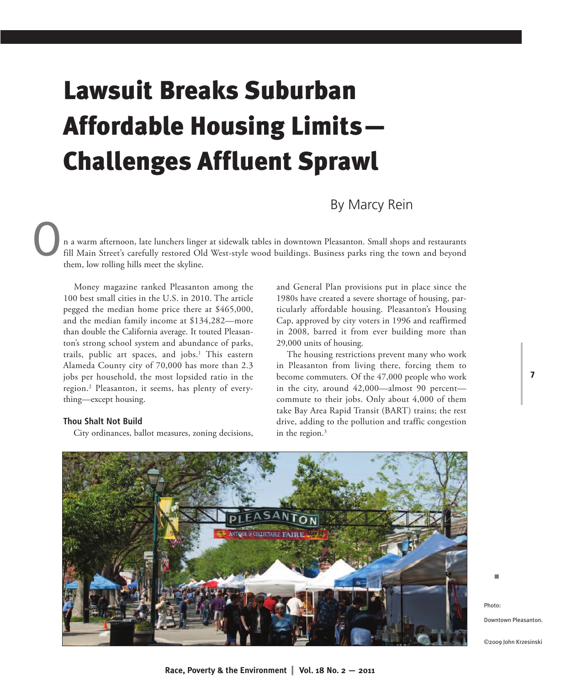# **Lawsuit Breaks Suburban Affordable Housing Limits— Challenges Affluent Sprawl**

By Marcy Rein

n a warm afternoon, late lunchers linger at sidewalk tables in downtown Pleasanton. Small shops and restaurants fill Main Street's carefully restored Old West-style wood buildings. Business parks ring the town and beyond them. low rolling hills meet the skyline. them, low rolling hills meet the skyline.

Money magazine ranked Pleasanton among the 100 best small cities in the U.S. in 2010. The article pegged the median home price there at \$465,000, and the median family income at \$134,282—more than double the California average. It touted Pleasanton's strong school system and abundance of parks, trails, public art spaces, and jobs. <sup>1</sup> This eastern Alameda County city of 70,000 has more than 2.3 jobs per household, the most lopsided ratio in the region. <sup>2</sup> Pleasanton, it seems, has plenty of everything—except housing.

#### **Thou Shalt Not Build**

City ordinances, ballot measures, zoning decisions,

and General Plan provisions put in place since the 1980s have created a severe shortage of housing, particularly affordable housing. Pleasanton's Housing Cap, approved by city voters in 1996 and reaffirmed in 2008, barred it from ever building more than 29,000 units of housing.

The housing restrictions prevent many who work in Pleasanton from living there, forcing them to become commuters. Of the 47,000 people who work in the city, around 42,000—almost 90 percent commute to their jobs. Only about 4,000 of them take Bay Area Rapid Transit (BART) trains; the rest drive, adding to the pollution and traffic congestion in the region. 3



Photo: Downtown Pleasanton.

n

**7**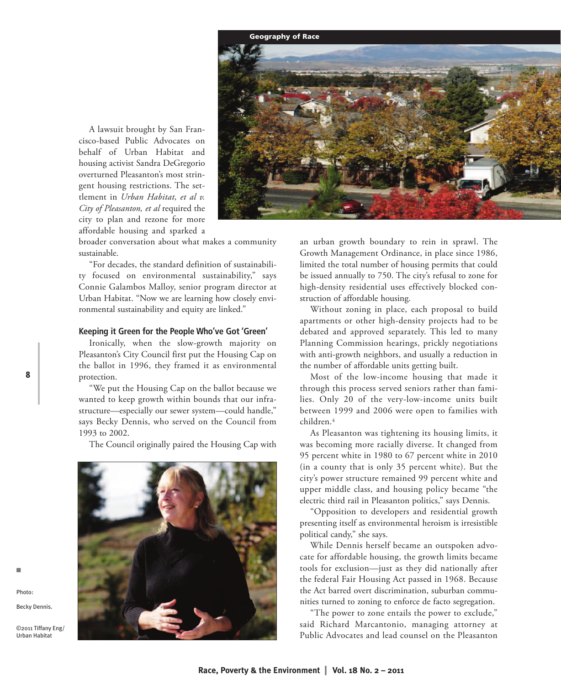

A lawsuit brought by San Francisco-based Public Advocates on behalf of Urban Habitat and housing activist Sandra DeGregorio overturned Pleasanton's most stringent housing restrictions. The settlement in *Urban Habitat, et al v. City of Pleasanton, et al* required the city to plan and rezone for more affordable housing and sparked a

broader conversation about what makes a community sustainable.

"For decades, the standard definition of sustainability focused on environmental sustainability," says Connie Galambos Malloy, senior program director at Urban Habitat. "Now we are learning how closely environmental sustainability and equity are linked."

#### **Keeping it Green for the People Who've Got 'Green'**

Ironically, when the slow-growth majority on Pleasanton's City Council first put the Housing Cap on the ballot in 1996, they framed it as environmental protection.

"We put the Housing Cap on the ballot because we wanted to keep growth within bounds that our infrastructure—especially our sewer system—could handle," says Becky Dennis, who served on the Council from 1993 to 2002.

The Council originally paired the Housing Cap with



Becky Dennis.

n

Photo:

**8**

©2011 Tiffany Eng/ Urban Habitat

an urban growth boundary to rein in sprawl. The Growth Management Ordinance, in place since 1986, limited the total number of housing permits that could be issued annually to 750. The city's refusal to zone for high-density residential uses effectively blocked construction of affordable housing.

Without zoning in place, each proposal to build apartments or other high-density projects had to be debated and approved separately. This led to many Planning Commission hearings, prickly negotiations with anti-growth neighbors, and usually a reduction in the number of affordable units getting built.

Most of the low-income housing that made it through this process served seniors rather than families. Only 20 of the very-low-income units built between 1999 and 2006 were open to families with children. 4

As Pleasanton was tightening its housing limits, it was becoming more racially diverse. It changed from 95 percent white in 1980 to 67 percent white in 2010 (in a county that is only 35 percent white). But the city's power structure remained 99 percent white and upper middle class, and housing policy became "the electric third rail in Pleasanton politics," says Dennis.

"Opposition to developers and residential growth presenting itself as environmental heroism is irresistible political candy," she says.

While Dennis herself became an outspoken advocate for affordable housing, the growth limits became tools for exclusion—just as they did nationally after the federal Fair Housing Act passed in 1968. Because the Act barred overt discrimination, suburban communities turned to zoning to enforce de facto segregation.

"The power to zone entails the power to exclude," said Richard Marcantonio, managing attorney at Public Advocates and lead counsel on the Pleasanton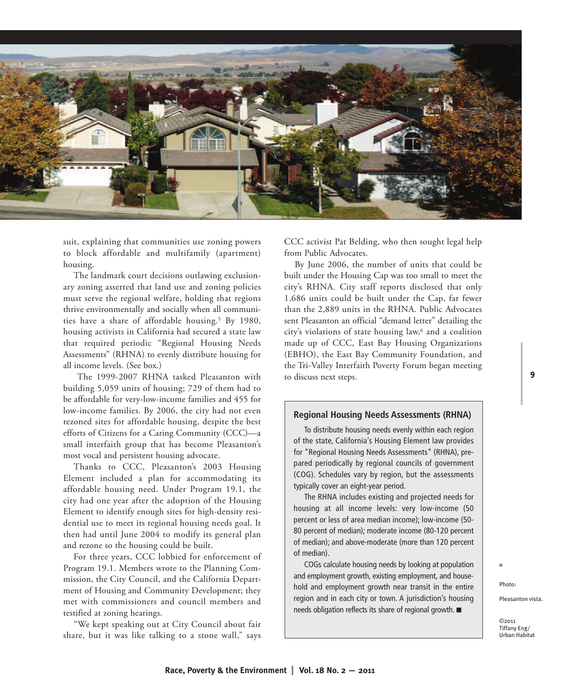

suit, explaining that communities use zoning powers to block affordable and multifamily (apartment) housing.

The landmark court decisions outlawing exclusionary zoning asserted that land use and zoning policies must serve the regional welfare, holding that regions thrive environmentally and socially when all communities have a share of affordable housing. <sup>5</sup> By 1980, housing activists in California had secured a state law that required periodic "Regional Housing Needs Assessments" (RHNA) to evenly distribute housing for all income levels. (See box.)

The 1999-2007 RHNA tasked Pleasanton with building 5,059 units of housing; 729 of them had to be affordable for very-low-income families and 455 for low-income families. By 2006, the city had not even rezoned sites for affordable housing, despite the best efforts of Citizens for a Caring Community (CCC)—a small interfaith group that has become Pleasanton's most vocal and persistent housing advocate.

Thanks to CCC, Pleasanton's 2003 Housing Element included a plan for accommodating its affordable housing need. Under Program 19.1, the city had one year after the adoption of the Housing Element to identify enough sites for high-density residential use to meet its regional housing needs goal. It then had until June 2004 to modify its general plan and rezone so the housing could be built.

For three years, CCC lobbied for enforcement of Program 19.1. Members wrote to the Planning Commission, the City Council, and the California Department of Housing and Community Development; they met with commissioners and council members and testified at zoning hearings.

"We kept speaking out at City Council about fair share, but it was like talking to a stone wall," says CCC activist Pat Belding, who then sought legal help from Public Advocates.

By June 2006, the number of units that could be built under the Housing Cap was too small to meet the city's RHNA. City staff reports disclosed that only 1,686 units could be built under the Cap, far fewer than the 2,889 units in the RHNA. Public Advocates sent Pleasanton an official "demand letter" detailing the city's violations of state housing law, <sup>6</sup> and a coalition made up of CCC, East Bay Housing Organizations (EBHO), the East Bay Community Foundation, and the Tri-Valley Interfaith Poverty Forum began meeting to discuss next steps.

## **Regional Housing Needs Assessments (RHNA)**

To distribute housing needs evenly within each region of the state, California's Housing Element law provides for "Regional Housing Needs Assessments" (RHNA), prepared periodically by regional councils of government (COG). Schedules vary by region, but the assessments typically cover an eight-year period.

The RHNA includes existing and projected needs for housing at all income levels: very low-income (50 percent or less of area median income); low-income (50- 80 percent of median); moderate income (80-120 percent of median); and above-moderate (more than 120 percent of median).

COGs calculate housing needs by looking at population and employment growth, existing employment, and household and employment growth near transit in the entire region and in each city or town. A jurisdiction's housing needs obligation reflects its share of regional growth.  $\blacksquare$ 

Photo:

n

Pleasanton vista.

©2011 Tiffany Eng/ Urban Habitat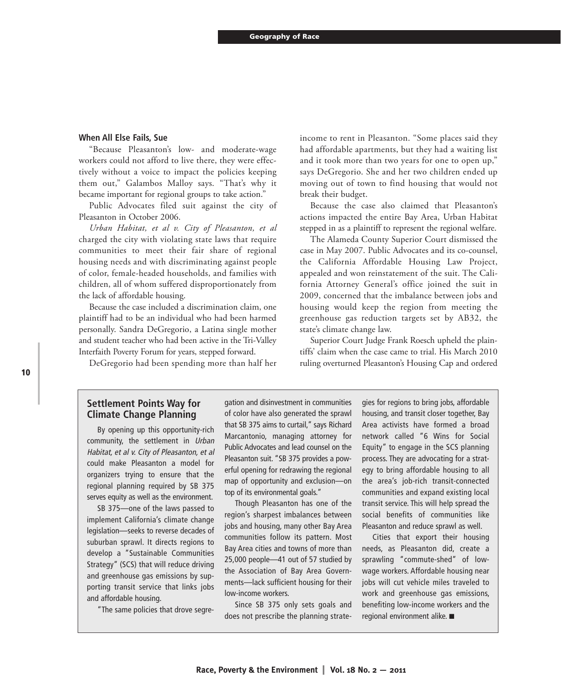## **When All Else Fails, Sue**

"Because Pleasanton's low- and moderate-wage workers could not afford to live there, they were effectively without a voice to impact the policies keeping them out," Galambos Malloy says. "That's why it became important for regional groups to take action."

Public Advocates filed suit against the city of Pleasanton in October 2006.

*Urban Habitat, et al v. City of Pleasanton, et al* charged the city with violating state laws that require communities to meet their fair share of regional housing needs and with discriminating against people of color, female-headed households, and families with children, all of whom suffered disproportionately from the lack of affordable housing.

Because the case included a discrimination claim, one plaintiff had to be an individual who had been harmed personally. Sandra DeGregorio, a Latina single mother and student teacher who had been active in the Tri-Valley Interfaith Poverty Forum for years, stepped forward.

DeGregorio had been spending more than half her

income to rent in Pleasanton. "Some places said they had affordable apartments, but they had a waiting list and it took more than two years for one to open up," says DeGregorio. She and her two children ended up moving out of town to find housing that would not break their budget.

Because the case also claimed that Pleasanton's actions impacted the entire Bay Area, Urban Habitat stepped in as a plaintiff to represent the regional welfare.

The Alameda County Superior Court dismissed the case in May 2007. Public Advocates and its co-counsel, the California Affordable Housing Law Project, appealed and won reinstatement of the suit. The California Attorney General's office joined the suit in 2009, concerned that the imbalance between jobs and housing would keep the region from meeting the greenhouse gas reduction targets set by AB32, the state's climate change law.

Superior Court Judge Frank Roesch upheld the plaintiffs' claim when the case came to trial. His March 2010 ruling overturned Pleasanton's Housing Cap and ordered

## **Settlement Points Way for Climate Change Planning**

By opening up this opportunity-rich community, the settlement in Urban Habitat, et al v. City of Pleasanton, et al could make Pleasanton a model for organizers trying to ensure that the regional planning required by SB 375 serves equity as well as the environment.

SB 375—one of the laws passed to implement California's climate change legislation—seeks to reverse decades of suburban sprawl. It directs regions to develop a "Sustainable Communities Strategy" (SCS) that will reduce driving and greenhouse gas emissions by supporting transit service that links jobs and affordable housing.

"The same policies that drove segre-

gation and disinvestment in communities of color have also generated the sprawl that SB 375 aims to curtail," says Richard Marcantonio, managing attorney for Public Advocates and lead counsel on the Pleasanton suit. "SB 375 provides a powerful opening for redrawing the regional map of opportunity and exclusion—on top of its environmental goals."

Though Pleasanton has one of the region's sharpest imbalances between jobs and housing, many other Bay Area communities follow its pattern. Most Bay Area cities and towns of more than 25,000 people—41 out of 57 studied by the Association of Bay Area Governments—lack sufficient housing for their low-income workers.

Since SB 375 only sets goals and does not prescribe the planning strate-

gies for regions to bring jobs, affordable housing, and transit closer together, Bay Area activists have formed a broad network called "6 Wins for Social Equity" to engage in the SCS planning process. They are advocating for a strategy to bring affordable housing to all the area's job-rich transit-connected communities and expand existing local transit service. This will help spread the social benefits of communities like Pleasanton and reduce sprawl as well.

Cities that export their housing needs, as Pleasanton did, create a sprawling "commute-shed" of lowwage workers. Affordable housing near jobs will cut vehicle miles traveled to work and greenhouse gas emissions, benefiting low-income workers and the regional environment alike.  $\blacksquare$